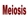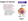# **Stages of meiosis**

- Interphase: each DNA replicates to produce two genetically identical sister chromatids which are attached at the centromere
	- *This is DNA replication – remember helicase, single stranded binding proteins, DNA polymerase, leading strand, lagging strand, Okazaki fragments, and ligase*



**INTERPHASE** 

**Chromosomes** duplicate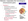#### Meiosis I separates the homologous chromosome pairs **PROPHASE I**

### Prophase I:

- Chromosomes condense
- Homologous chromosome pair to form a tetrad
	- One member of the pair is from the mom, the other from the dad
	- A tetrad is the association of four chromatids (two from each homologue)
	- The homologous chromosomes are attached at chiasmata
- Spindle microtubules form and the nuclear envelope disappears

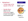- Metaphase I
	- Tetrads align at the equator of the cell

Spindle fibers attach to the centromere region of each homologous chromosome pair.

#### **METAPHASE I**



Tetrads line up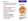## • Anaphase I:

- Homologous chromosomes separate and move to the poles
- Sister chromatids remain attached at their centromere and move as a single unit towards the same pole
- Each pole randomly receives a mixture of maternal and paternal chromosomes



chromosomes separate

**Pairs of homologous** chromosomes split up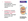- Telophase I: chromosomes decondense, nuclear membrane may reform
- Cytokinesis occurs, forming two haploid daughter cells (remember cleavage furrow and cell plates)





Two haploid cells form; chromosomes are still double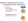Meiosis II separates the two sister chromatids of each chromosome

- Prophase II:
	- **Chromosomes** recondense and spindle fibers reform
	- Chromosomes progress towards the equator

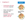- Anaphase II:
	- Centromeres of sister chromatids separate
		- Sister chromatids of each pair, now individual chromosomes, move towards opposite poles of the cell